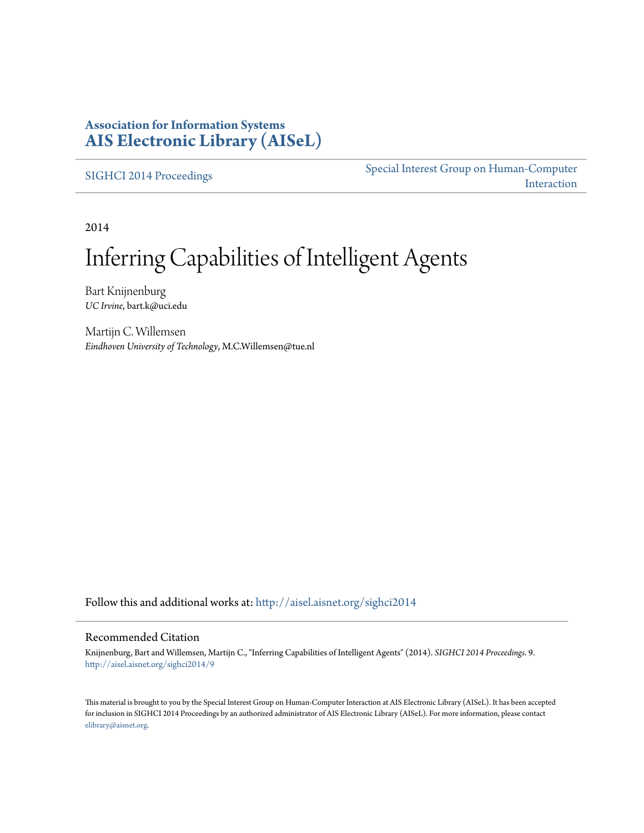### **Association for Information Systems [AIS Electronic Library \(AISeL\)](http://aisel.aisnet.org?utm_source=aisel.aisnet.org%2Fsighci2014%2F9&utm_medium=PDF&utm_campaign=PDFCoverPages)**

[SIGHCI 2014 Proceedings](http://aisel.aisnet.org/sighci2014?utm_source=aisel.aisnet.org%2Fsighci2014%2F9&utm_medium=PDF&utm_campaign=PDFCoverPages)

[Special Interest Group on Human-Computer](http://aisel.aisnet.org/sighci?utm_source=aisel.aisnet.org%2Fsighci2014%2F9&utm_medium=PDF&utm_campaign=PDFCoverPages) [Interaction](http://aisel.aisnet.org/sighci?utm_source=aisel.aisnet.org%2Fsighci2014%2F9&utm_medium=PDF&utm_campaign=PDFCoverPages)

2014

# Inferring Capabilities of Intelligent Agents

Bart Knijnenburg *UC Irvine*, bart.k@uci.edu

Martijn C. Willemsen *Eindhoven University of Technology*, M.C.Willemsen@tue.nl

Follow this and additional works at: [http://aisel.aisnet.org/sighci2014](http://aisel.aisnet.org/sighci2014?utm_source=aisel.aisnet.org%2Fsighci2014%2F9&utm_medium=PDF&utm_campaign=PDFCoverPages)

#### Recommended Citation

Knijnenburg, Bart and Willemsen, Martijn C., "Inferring Capabilities of Intelligent Agents" (2014). *SIGHCI 2014 Proceedings*. 9. [http://aisel.aisnet.org/sighci2014/9](http://aisel.aisnet.org/sighci2014/9?utm_source=aisel.aisnet.org%2Fsighci2014%2F9&utm_medium=PDF&utm_campaign=PDFCoverPages)

This material is brought to you by the Special Interest Group on Human-Computer Interaction at AIS Electronic Library (AISeL). It has been accepted for inclusion in SIGHCI 2014 Proceedings by an authorized administrator of AIS Electronic Library (AISeL). For more information, please contact [elibrary@aisnet.org.](mailto:elibrary@aisnet.org%3E)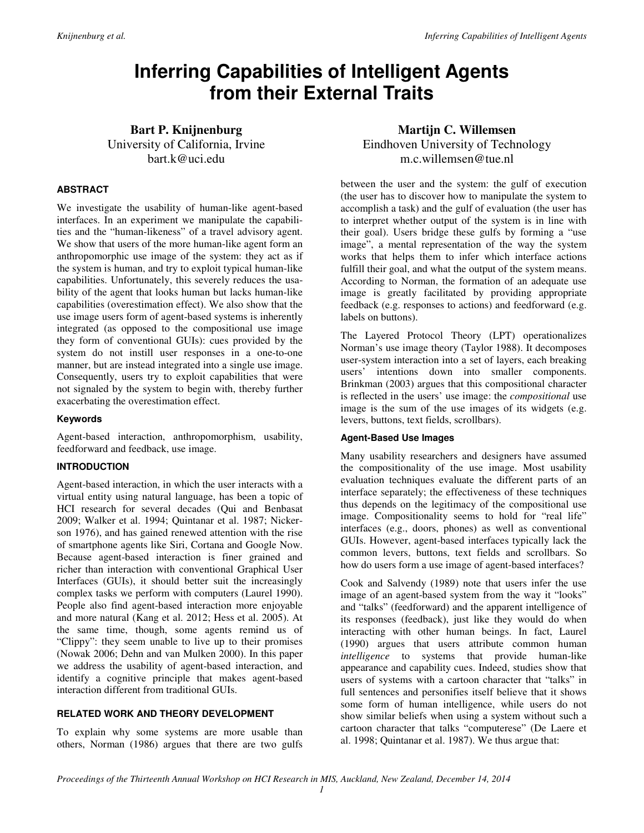## **Inferring Capabilities of Intelligent Agents from their External Traits**

**Bart P. Knijnenburg**  University of California, Irvine bart.k@uci.edu

#### **ABSTRACT**

We investigate the usability of human-like agent-based interfaces. In an experiment we manipulate the capabilities and the "human-likeness" of a travel advisory agent. We show that users of the more human-like agent form an anthropomorphic use image of the system: they act as if the system is human, and try to exploit typical human-like capabilities. Unfortunately, this severely reduces the usability of the agent that looks human but lacks human-like capabilities (overestimation effect). We also show that the use image users form of agent-based systems is inherently integrated (as opposed to the compositional use image they form of conventional GUIs): cues provided by the system do not instill user responses in a one-to-one manner, but are instead integrated into a single use image. Consequently, users try to exploit capabilities that were not signaled by the system to begin with, thereby further exacerbating the overestimation effect.

#### **Keywords**

Agent-based interaction, anthropomorphism, usability, feedforward and feedback, use image.

#### **INTRODUCTION**

Agent-based interaction, in which the user interacts with a virtual entity using natural language, has been a topic of HCI research for several decades (Qui and Benbasat 2009; Walker et al. 1994; Quintanar et al. 1987; Nickerson 1976), and has gained renewed attention with the rise of smartphone agents like Siri, Cortana and Google Now. Because agent-based interaction is finer grained and richer than interaction with conventional Graphical User Interfaces (GUIs), it should better suit the increasingly complex tasks we perform with computers (Laurel 1990). People also find agent-based interaction more enjoyable and more natural (Kang et al. 2012; Hess et al. 2005). At the same time, though, some agents remind us of "Clippy": they seem unable to live up to their promises (Nowak 2006; Dehn and van Mulken 2000). In this paper we address the usability of agent-based interaction, and identify a cognitive principle that makes agent-based interaction different from traditional GUIs.

#### **RELATED WORK AND THEORY DEVELOPMENT**

To explain why some systems are more usable than others, Norman (1986) argues that there are two gulfs

**Martijn C. Willemsen**  Eindhoven University of Technology m.c.willemsen@tue.nl

between the user and the system: the gulf of execution (the user has to discover how to manipulate the system to accomplish a task) and the gulf of evaluation (the user has to interpret whether output of the system is in line with their goal). Users bridge these gulfs by forming a "use image", a mental representation of the way the system works that helps them to infer which interface actions fulfill their goal, and what the output of the system means. According to Norman, the formation of an adequate use image is greatly facilitated by providing appropriate feedback (e.g. responses to actions) and feedforward (e.g. labels on buttons).

The Layered Protocol Theory (LPT) operationalizes Norman's use image theory (Taylor 1988). It decomposes user-system interaction into a set of layers, each breaking users' intentions down into smaller components. Brinkman (2003) argues that this compositional character is reflected in the users' use image: the *compositional* use image is the sum of the use images of its widgets (e.g. levers, buttons, text fields, scrollbars).

#### **Agent-Based Use Images**

Many usability researchers and designers have assumed the compositionality of the use image. Most usability evaluation techniques evaluate the different parts of an interface separately; the effectiveness of these techniques thus depends on the legitimacy of the compositional use image. Compositionality seems to hold for "real life" interfaces (e.g., doors, phones) as well as conventional GUIs. However, agent-based interfaces typically lack the common levers, buttons, text fields and scrollbars. So how do users form a use image of agent-based interfaces?

Cook and Salvendy (1989) note that users infer the use image of an agent-based system from the way it "looks" and "talks" (feedforward) and the apparent intelligence of its responses (feedback), just like they would do when interacting with other human beings. In fact, Laurel (1990) argues that users attribute common human *intelligence* to systems that provide human-like appearance and capability cues. Indeed, studies show that users of systems with a cartoon character that "talks" in full sentences and personifies itself believe that it shows some form of human intelligence, while users do not show similar beliefs when using a system without such a cartoon character that talks "computerese" (De Laere et al. 1998; Quintanar et al. 1987). We thus argue that: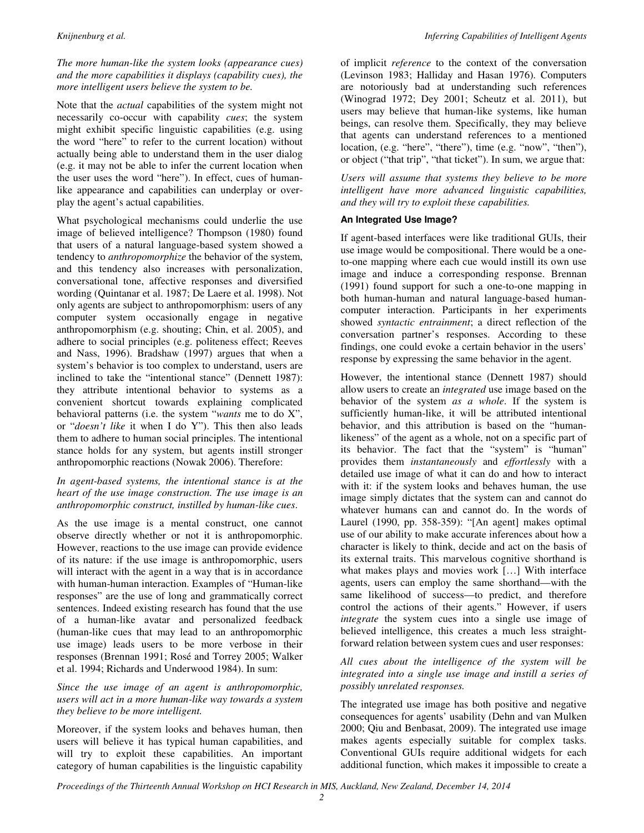*The more human-like the system looks (appearance cues) and the more capabilities it displays (capability cues), the more intelligent users believe the system to be.* 

Note that the *actual* capabilities of the system might not necessarily co-occur with capability *cues*; the system might exhibit specific linguistic capabilities (e.g. using the word "here" to refer to the current location) without actually being able to understand them in the user dialog (e.g. it may not be able to infer the current location when the user uses the word "here"). In effect, cues of humanlike appearance and capabilities can underplay or overplay the agent's actual capabilities.

What psychological mechanisms could underlie the use image of believed intelligence? Thompson (1980) found that users of a natural language-based system showed a tendency to *anthropomorphize* the behavior of the system, and this tendency also increases with personalization, conversational tone, affective responses and diversified wording (Quintanar et al. 1987; De Laere et al. 1998). Not only agents are subject to anthropomorphism: users of any computer system occasionally engage in negative anthropomorphism (e.g. shouting; Chin, et al. 2005), and adhere to social principles (e.g. politeness effect; Reeves and Nass, 1996). Bradshaw (1997) argues that when a system's behavior is too complex to understand, users are inclined to take the "intentional stance" (Dennett 1987): they attribute intentional behavior to systems as a convenient shortcut towards explaining complicated behavioral patterns (i.e. the system "*wants* me to do X", or "*doesn't like* it when I do Y"). This then also leads them to adhere to human social principles. The intentional stance holds for any system, but agents instill stronger anthropomorphic reactions (Nowak 2006). Therefore:

*In agent-based systems, the intentional stance is at the heart of the use image construction. The use image is an anthropomorphic construct, instilled by human-like cues*.

As the use image is a mental construct, one cannot observe directly whether or not it is anthropomorphic. However, reactions to the use image can provide evidence of its nature: if the use image is anthropomorphic, users will interact with the agent in a way that is in accordance with human-human interaction. Examples of "Human-like responses" are the use of long and grammatically correct sentences. Indeed existing research has found that the use of a human-like avatar and personalized feedback (human-like cues that may lead to an anthropomorphic use image) leads users to be more verbose in their responses (Brennan 1991; Rosé and Torrey 2005; Walker et al. 1994; Richards and Underwood 1984). In sum:

*Since the use image of an agent is anthropomorphic, users will act in a more human-like way towards a system they believe to be more intelligent.* 

Moreover, if the system looks and behaves human, then users will believe it has typical human capabilities, and will try to exploit these capabilities. An important category of human capabilities is the linguistic capability

of implicit *reference* to the context of the conversation (Levinson 1983; Halliday and Hasan 1976). Computers are notoriously bad at understanding such references (Winograd 1972; Dey 2001; Scheutz et al. 2011), but users may believe that human-like systems, like human beings, can resolve them. Specifically, they may believe that agents can understand references to a mentioned location, (e.g. "here", "there"), time (e.g. "now", "then"), or object ("that trip", "that ticket"). In sum, we argue that:

*Users will assume that systems they believe to be more intelligent have more advanced linguistic capabilities, and they will try to exploit these capabilities.* 

#### **An Integrated Use Image?**

If agent-based interfaces were like traditional GUIs, their use image would be compositional. There would be a oneto-one mapping where each cue would instill its own use image and induce a corresponding response. Brennan (1991) found support for such a one-to-one mapping in both human-human and natural language-based humancomputer interaction. Participants in her experiments showed *syntactic entrainment*; a direct reflection of the conversation partner's responses. According to these findings, one could evoke a certain behavior in the users' response by expressing the same behavior in the agent.

However, the intentional stance (Dennett 1987) should allow users to create an *integrated* use image based on the behavior of the system *as a whole*. If the system is sufficiently human-like, it will be attributed intentional behavior, and this attribution is based on the "humanlikeness" of the agent as a whole, not on a specific part of its behavior. The fact that the "system" is "human" provides them *instantaneously* and *effortlessly* with a detailed use image of what it can do and how to interact with it: if the system looks and behaves human, the use image simply dictates that the system can and cannot do whatever humans can and cannot do. In the words of Laurel (1990, pp. 358-359): "[An agent] makes optimal use of our ability to make accurate inferences about how a character is likely to think, decide and act on the basis of its external traits. This marvelous cognitive shorthand is what makes plays and movies work […] With interface agents, users can employ the same shorthand—with the same likelihood of success—to predict, and therefore control the actions of their agents." However, if users *integrate* the system cues into a single use image of believed intelligence, this creates a much less straightforward relation between system cues and user responses:

*All cues about the intelligence of the system will be integrated into a single use image and instill a series of possibly unrelated responses.* 

The integrated use image has both positive and negative consequences for agents' usability (Dehn and van Mulken 2000; Qiu and Benbasat, 2009). The integrated use image makes agents especially suitable for complex tasks. Conventional GUIs require additional widgets for each additional function, which makes it impossible to create a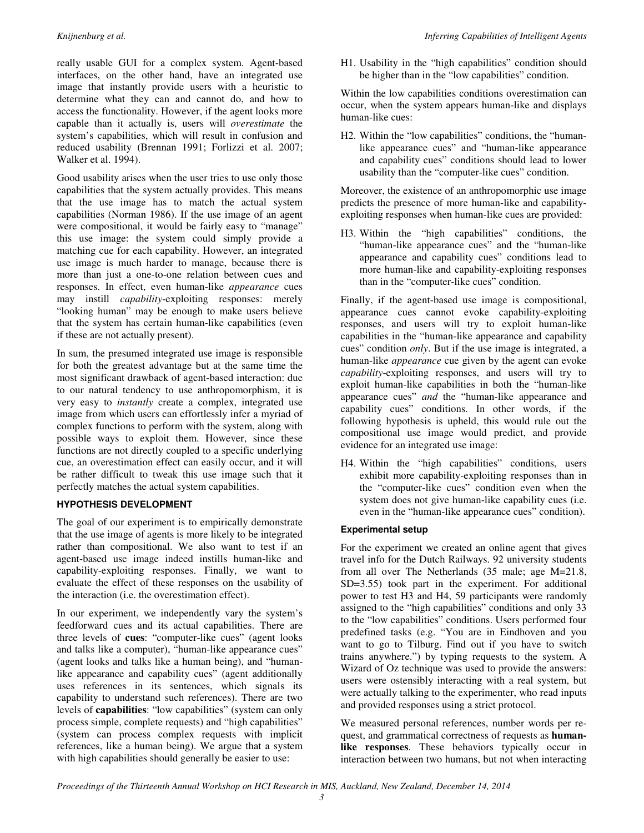really usable GUI for a complex system. Agent-based interfaces, on the other hand, have an integrated use image that instantly provide users with a heuristic to determine what they can and cannot do, and how to access the functionality. However, if the agent looks more capable than it actually is, users will *overestimate* the system's capabilities, which will result in confusion and reduced usability (Brennan 1991; Forlizzi et al. 2007; Walker et al. 1994).

Good usability arises when the user tries to use only those capabilities that the system actually provides. This means that the use image has to match the actual system capabilities (Norman 1986). If the use image of an agent were compositional, it would be fairly easy to "manage" this use image: the system could simply provide a matching cue for each capability. However, an integrated use image is much harder to manage, because there is more than just a one-to-one relation between cues and responses. In effect, even human-like *appearance* cues may instill *capability*-exploiting responses: merely "looking human" may be enough to make users believe that the system has certain human-like capabilities (even if these are not actually present).

In sum, the presumed integrated use image is responsible for both the greatest advantage but at the same time the most significant drawback of agent-based interaction: due to our natural tendency to use anthropomorphism, it is very easy to *instantly* create a complex, integrated use image from which users can effortlessly infer a myriad of complex functions to perform with the system, along with possible ways to exploit them. However, since these functions are not directly coupled to a specific underlying cue, an overestimation effect can easily occur, and it will be rather difficult to tweak this use image such that it perfectly matches the actual system capabilities.

#### **HYPOTHESIS DEVELOPMENT**

The goal of our experiment is to empirically demonstrate that the use image of agents is more likely to be integrated rather than compositional. We also want to test if an agent-based use image indeed instills human-like and capability-exploiting responses. Finally, we want to evaluate the effect of these responses on the usability of the interaction (i.e. the overestimation effect).

In our experiment, we independently vary the system's feedforward cues and its actual capabilities. There are three levels of **cues**: "computer-like cues" (agent looks and talks like a computer), "human-like appearance cues" (agent looks and talks like a human being), and "humanlike appearance and capability cues" (agent additionally uses references in its sentences, which signals its capability to understand such references). There are two levels of **capabilities**: "low capabilities" (system can only process simple, complete requests) and "high capabilities" (system can process complex requests with implicit references, like a human being). We argue that a system with high capabilities should generally be easier to use:

H1. Usability in the "high capabilities" condition should be higher than in the "low capabilities" condition.

Within the low capabilities conditions overestimation can occur, when the system appears human-like and displays human-like cues:

H2. Within the "low capabilities" conditions, the "humanlike appearance cues" and "human-like appearance and capability cues" conditions should lead to lower usability than the "computer-like cues" condition.

Moreover, the existence of an anthropomorphic use image predicts the presence of more human-like and capabilityexploiting responses when human-like cues are provided:

H3. Within the "high capabilities" conditions, the "human-like appearance cues" and the "human-like appearance and capability cues" conditions lead to more human-like and capability-exploiting responses than in the "computer-like cues" condition.

Finally, if the agent-based use image is compositional, appearance cues cannot evoke capability-exploiting responses, and users will try to exploit human-like capabilities in the "human-like appearance and capability cues" condition *only*. But if the use image is integrated, a human-like *appearance* cue given by the agent can evoke *capability*-exploiting responses, and users will try to exploit human-like capabilities in both the "human-like appearance cues" *and* the "human-like appearance and capability cues" conditions. In other words, if the following hypothesis is upheld, this would rule out the compositional use image would predict, and provide evidence for an integrated use image:

H4. Within the "high capabilities" conditions, users exhibit more capability-exploiting responses than in the "computer-like cues" condition even when the system does not give human-like capability cues (i.e. even in the "human-like appearance cues" condition).

#### **Experimental setup**

For the experiment we created an online agent that gives travel info for the Dutch Railways. 92 university students from all over The Netherlands (35 male; age M=21.8, SD=3.55) took part in the experiment. For additional power to test H3 and H4, 59 participants were randomly assigned to the "high capabilities" conditions and only 33 to the "low capabilities" conditions. Users performed four predefined tasks (e.g. "You are in Eindhoven and you want to go to Tilburg. Find out if you have to switch trains anywhere.") by typing requests to the system. A Wizard of Oz technique was used to provide the answers: users were ostensibly interacting with a real system, but were actually talking to the experimenter, who read inputs and provided responses using a strict protocol.

We measured personal references, number words per request, and grammatical correctness of requests as **humanlike responses**. These behaviors typically occur in interaction between two humans, but not when interacting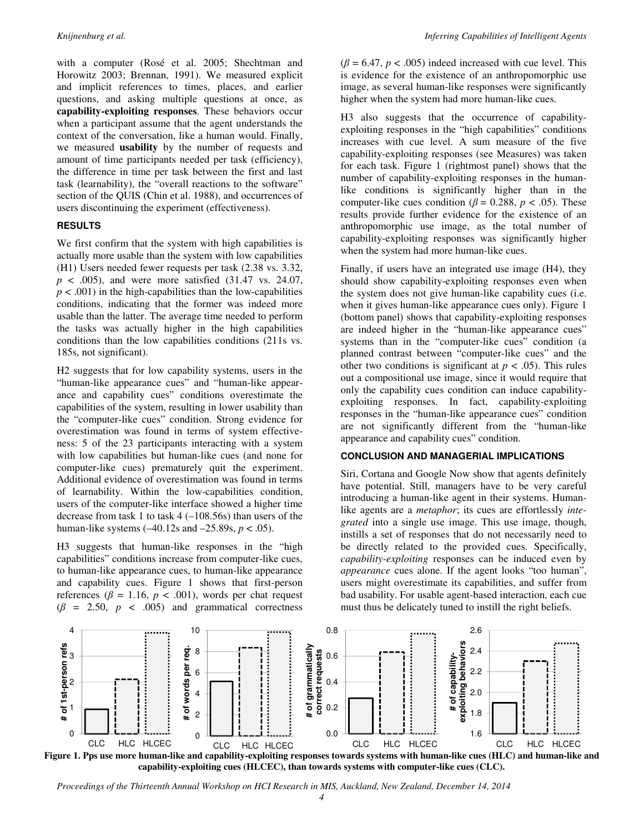with a computer (Rosé et al. 2005; Shechtman and Horowitz 2003; Brennan, 1991). We measured explicit and implicit references to times, places, and earlier questions, and asking multiple questions at once, as **capability-exploiting responses**. These behaviors occur when a participant assume that the agent understands the context of the conversation, like a human would. Finally, we measured **usability** by the number of requests and amount of time participants needed per task (efficiency), the difference in time per task between the first and last task (learnability), the "overall reactions to the software" section of the QUIS (Chin et al. 1988), and occurrences of users discontinuing the experiment (effectiveness).

#### **RESULTS**

We first confirm that the system with high capabilities is actually more usable than the system with low capabilities (H1) Users needed fewer requests per task (2.38 vs. 3.32, *p* < .005), and were more satisfied (31.47 vs. 24.07,  $p < .001$ ) in the high-capabilities than the low-capabilities conditions, indicating that the former was indeed more usable than the latter. The average time needed to perform the tasks was actually higher in the high capabilities conditions than the low capabilities conditions (211s vs. 185s, not significant).

H2 suggests that for low capability systems, users in the "human-like appearance cues" and "human-like appearance and capability cues" conditions overestimate the capabilities of the system, resulting in lower usability than the "computer-like cues" condition. Strong evidence for overestimation was found in terms of system effectiveness: 5 of the 23 participants interacting with a system with low capabilities but human-like cues (and none for computer-like cues) prematurely quit the experiment. Additional evidence of overestimation was found in terms of learnability. Within the low-capabilities condition, users of the computer-like interface showed a higher time decrease from task 1 to task 4 (–108.56s) than users of the human-like systems (–40.12s and –25.89s, *p* < .05).

H3 suggests that human-like responses in the "high capabilities" conditions increase from computer-like cues, to human-like appearance cues, to human-like appearance and capability cues. Figure 1 shows that first-person references ( $\beta$  = 1.16,  $p$  < .001), words per chat request  $(\beta = 2.50, p < .005)$  and grammatical correctness

 $(\beta = 6.47, p < .005)$  indeed increased with cue level. This is evidence for the existence of an anthropomorphic use image, as several human-like responses were significantly higher when the system had more human-like cues.

H3 also suggests that the occurrence of capabilityexploiting responses in the "high capabilities" conditions increases with cue level. A sum measure of the five capability-exploiting responses (see Measures) was taken for each task. Figure 1 (rightmost panel) shows that the number of capability-exploiting responses in the humanlike conditions is significantly higher than in the computer-like cues condition ( $\beta$  = 0.288,  $p$  < .05). These results provide further evidence for the existence of an anthropomorphic use image, as the total number of capability-exploiting responses was significantly higher when the system had more human-like cues.

Finally, if users have an integrated use image (H4), they should show capability-exploiting responses even when the system does not give human-like capability cues (i.e. when it gives human-like appearance cues only). Figure 1 (bottom panel) shows that capability-exploiting responses are indeed higher in the "human-like appearance cues" systems than in the "computer-like cues" condition (a planned contrast between "computer-like cues" and the other two conditions is significant at  $p < .05$ ). This rules out a compositional use image, since it would require that only the capability cues condition can induce capabilityexploiting responses. In fact, capability-exploiting responses in the "human-like appearance cues" condition are not significantly different from the "human-like appearance and capability cues" condition.

#### **CONCLUSION AND MANAGERIAL IMPLICATIONS**

Siri, Cortana and Google Now show that agents definitely have potential. Still, managers have to be very careful introducing a human-like agent in their systems. Humanlike agents are a *metaphor*; its cues are effortlessly *integrated* into a single use image. This use image, though, instills a set of responses that do not necessarily need to be directly related to the provided cues. Specifically, *capability-exploiting* responses can be induced even by *appearance* cues alone. If the agent looks "too human", users might overestimate its capabilities, and suffer from bad usability. For usable agent-based interaction, each cue must thus be delicately tuned to instill the right beliefs.



**Figure 1. Pps use more human-like and capability-exploiting responses towards systems with human-like cues (HLC) and human-like and capability-exploiting cues (HLCEC), than towards systems with computer-like cues (CLC).**